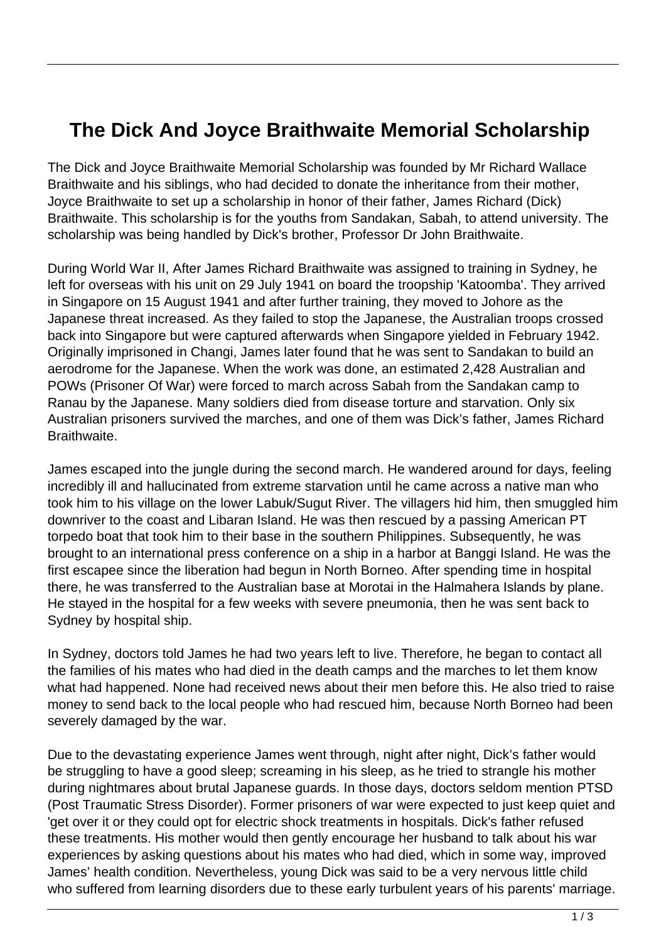## **The Dick And Joyce Braithwaite Memorial Scholarship**

The Dick and Joyce Braithwaite Memorial Scholarship was founded by Mr Richard Wallace Braithwaite and his siblings, who had decided to donate the inheritance from their mother, Joyce Braithwaite to set up a scholarship in honor of their father, James Richard (Dick) Braithwaite. This scholarship is for the youths from Sandakan, Sabah, to attend university. The scholarship was being handled by Dick's brother, Professor Dr John Braithwaite.

During World War II, After James Richard Braithwaite was assigned to training in Sydney, he left for overseas with his unit on 29 July 1941 on board the troopship 'Katoomba'. They arrived in Singapore on 15 August 1941 and after further training, they moved to Johore as the Japanese threat increased. As they failed to stop the Japanese, the Australian troops crossed back into Singapore but were captured afterwards when Singapore yielded in February 1942. Originally imprisoned in Changi, James later found that he was sent to Sandakan to build an aerodrome for the Japanese. When the work was done, an estimated 2,428 Australian and POWs (Prisoner Of War) were forced to march across Sabah from the Sandakan camp to Ranau by the Japanese. Many soldiers died from disease torture and starvation. Only six Australian prisoners survived the marches, and one of them was Dick's father, James Richard Braithwaite.

James escaped into the jungle during the second march. He wandered around for days, feeling incredibly ill and hallucinated from extreme starvation until he came across a native man who took him to his village on the lower Labuk/Sugut River. The villagers hid him, then smuggled him downriver to the coast and Libaran Island. He was then rescued by a passing American PT torpedo boat that took him to their base in the southern Philippines. Subsequently, he was brought to an international press conference on a ship in a harbor at Banggi Island. He was the first escapee since the liberation had begun in North Borneo. After spending time in hospital there, he was transferred to the Australian base at Morotai in the Halmahera Islands by plane. He stayed in the hospital for a few weeks with severe pneumonia, then he was sent back to Sydney by hospital ship.

In Sydney, doctors told James he had two years left to live. Therefore, he began to contact all the families of his mates who had died in the death camps and the marches to let them know what had happened. None had received news about their men before this. He also tried to raise money to send back to the local people who had rescued him, because North Borneo had been severely damaged by the war.

Due to the devastating experience James went through, night after night, Dick's father would be struggling to have a good sleep; screaming in his sleep, as he tried to strangle his mother during nightmares about brutal Japanese guards. In those days, doctors seldom mention PTSD (Post Traumatic Stress Disorder). Former prisoners of war were expected to just keep quiet and 'get over it or they could opt for electric shock treatments in hospitals. Dick's father refused these treatments. His mother would then gently encourage her husband to talk about his war experiences by asking questions about his mates who had died, which in some way, improved James' health condition. Nevertheless, young Dick was said to be a very nervous little child who suffered from learning disorders due to these early turbulent years of his parents' marriage.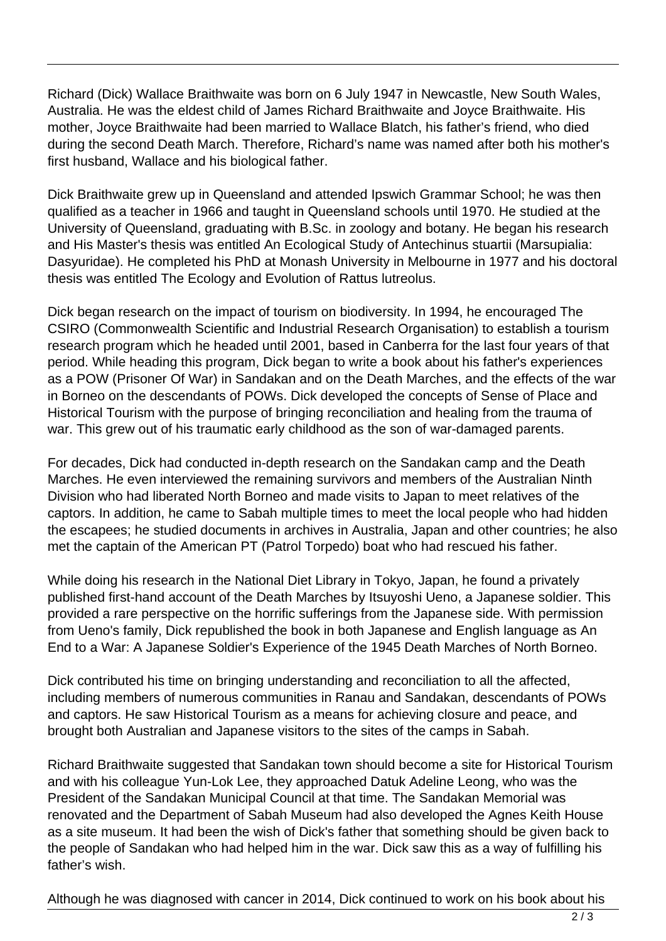Richard (Dick) Wallace Braithwaite was born on 6 July 1947 in Newcastle, New South Wales, Australia. He was the eldest child of James Richard Braithwaite and Joyce Braithwaite. His mother, Joyce Braithwaite had been married to Wallace Blatch, his father's friend, who died during the second Death March. Therefore, Richard's name was named after both his mother's first husband, Wallace and his biological father.

Dick Braithwaite grew up in Queensland and attended Ipswich Grammar School; he was then qualified as a teacher in 1966 and taught in Queensland schools until 1970. He studied at the University of Queensland, graduating with B.Sc. in zoology and botany. He began his research and His Master's thesis was entitled An Ecological Study of Antechinus stuartii (Marsupialia: Dasyuridae). He completed his PhD at Monash University in Melbourne in 1977 and his doctoral thesis was entitled The Ecology and Evolution of Rattus lutreolus.

Dick began research on the impact of tourism on biodiversity. In 1994, he encouraged The CSIRO (Commonwealth Scientific and Industrial Research Organisation) to establish a tourism research program which he headed until 2001, based in Canberra for the last four years of that period. While heading this program, Dick began to write a book about his father's experiences as a POW (Prisoner Of War) in Sandakan and on the Death Marches, and the effects of the war in Borneo on the descendants of POWs. Dick developed the concepts of Sense of Place and Historical Tourism with the purpose of bringing reconciliation and healing from the trauma of war. This grew out of his traumatic early childhood as the son of war-damaged parents.

For decades, Dick had conducted in-depth research on the Sandakan camp and the Death Marches. He even interviewed the remaining survivors and members of the Australian Ninth Division who had liberated North Borneo and made visits to Japan to meet relatives of the captors. In addition, he came to Sabah multiple times to meet the local people who had hidden the escapees; he studied documents in archives in Australia, Japan and other countries; he also met the captain of the American PT (Patrol Torpedo) boat who had rescued his father.

While doing his research in the National Diet Library in Tokyo, Japan, he found a privately published first-hand account of the Death Marches by Itsuyoshi Ueno, a Japanese soldier. This provided a rare perspective on the horrific sufferings from the Japanese side. With permission from Ueno's family, Dick republished the book in both Japanese and English language as An End to a War: A Japanese Soldier's Experience of the 1945 Death Marches of North Borneo.

Dick contributed his time on bringing understanding and reconciliation to all the affected, including members of numerous communities in Ranau and Sandakan, descendants of POWs and captors. He saw Historical Tourism as a means for achieving closure and peace, and brought both Australian and Japanese visitors to the sites of the camps in Sabah.

Richard Braithwaite suggested that Sandakan town should become a site for Historical Tourism and with his colleague Yun-Lok Lee, they approached Datuk Adeline Leong, who was the President of the Sandakan Municipal Council at that time. The Sandakan Memorial was renovated and the Department of Sabah Museum had also developed the Agnes Keith House as a site museum. It had been the wish of Dick's father that something should be given back to the people of Sandakan who had helped him in the war. Dick saw this as a way of fulfilling his father's wish.

Although he was diagnosed with cancer in 2014, Dick continued to work on his book about his